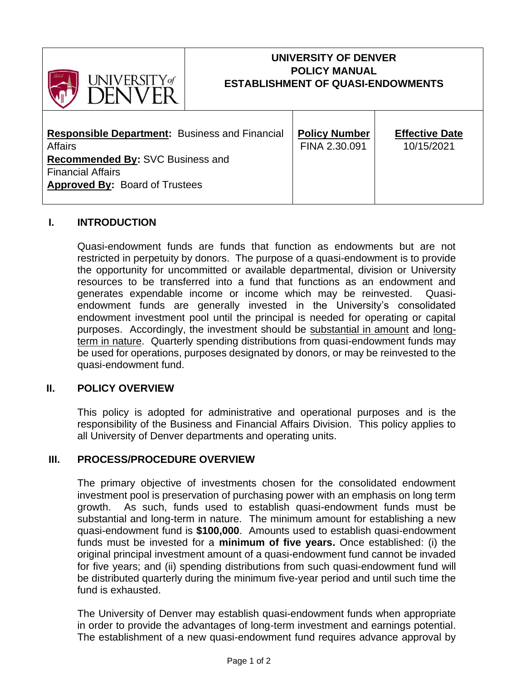

# **UNIVERSITY OF DENVER POLICY MANUAL ESTABLISHMENT OF QUASI-ENDOWMENTS**

| <b>Responsible Department: Business and Financial</b> | <b>Policy Number</b> | <b>Effective Date</b> |
|-------------------------------------------------------|----------------------|-----------------------|
| Affairs                                               | FINA 2.30.091        | 10/15/2021            |
| Recommended By: SVC Business and                      |                      |                       |
| <b>Financial Affairs</b>                              |                      |                       |
| <b>Approved By: Board of Trustees</b>                 |                      |                       |
|                                                       |                      |                       |

## **I. INTRODUCTION**

Quasi-endowment funds are funds that function as endowments but are not restricted in perpetuity by donors. The purpose of a quasi-endowment is to provide the opportunity for uncommitted or available departmental, division or University resources to be transferred into a fund that functions as an endowment and generates expendable income or income which may be reinvested. Quasiendowment funds are generally invested in the University's consolidated endowment investment pool until the principal is needed for operating or capital purposes. Accordingly, the investment should be substantial in amount and longterm in nature. Quarterly spending distributions from quasi-endowment funds may be used for operations, purposes designated by donors, or may be reinvested to the quasi-endowment fund.

### **II. POLICY OVERVIEW**

This policy is adopted for administrative and operational purposes and is the responsibility of the Business and Financial Affairs Division. This policy applies to all University of Denver departments and operating units.

### **III. PROCESS/PROCEDURE OVERVIEW**

The primary objective of investments chosen for the consolidated endowment investment pool is preservation of purchasing power with an emphasis on long term growth. As such, funds used to establish quasi-endowment funds must be substantial and long-term in nature. The minimum amount for establishing a new quasi-endowment fund is **\$100,000**. Amounts used to establish quasi-endowment funds must be invested for a **minimum of five years.** Once established: (i) the original principal investment amount of a quasi-endowment fund cannot be invaded for five years; and (ii) spending distributions from such quasi-endowment fund will be distributed quarterly during the minimum five-year period and until such time the fund is exhausted.

The University of Denver may establish quasi-endowment funds when appropriate in order to provide the advantages of long-term investment and earnings potential. The establishment of a new quasi-endowment fund requires advance approval by